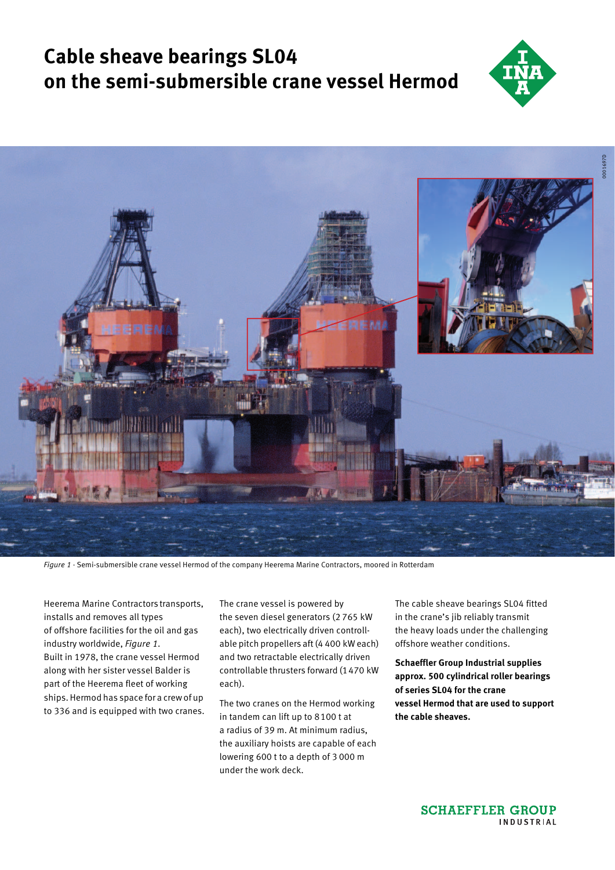# **Cable sheave bearings SL04 on the semi-submersible crane vessel Hermod**





*Figure 1 ·* Semi-submersible crane vessel Hermod of the company Heerema Marine Contractors, moored in Rotterdam

Heerema Marine Contractors transports, installs and removes all types of offshore facilities for the oil and gas industry worldwide, *Figure 1*. Built in 1978, the crane vessel Hermod along with her sister vessel Balder is part of the Heerema fleet of working ships. Hermod has space for a crew of up to 336 and is equipped with two cranes.

The crane vessel is powered by the seven diesel generators (2 765 kW each), two electrically driven controllable pitch propellers aft (4 400 kW each) and two retractable electrically driven controllable thrusters forward (1470 kW each).

The two cranes on the Hermod working in tandem can lift up to 8100 t at a radius of 39 m. At minimum radius, the auxiliary hoists are capable of each lowering 600 t to a depth of 3 000 m under the work deck.

The cable sheave bearings SL04 fitted in the crane's jib reliably transmit the heavy loads under the challenging offshore weather conditions.

**Schaeffler Group Industrial supplies approx. 500 cylindrical roller bearings of series SL04 for the crane vessel Hermod that are used to support the cable sheaves.**